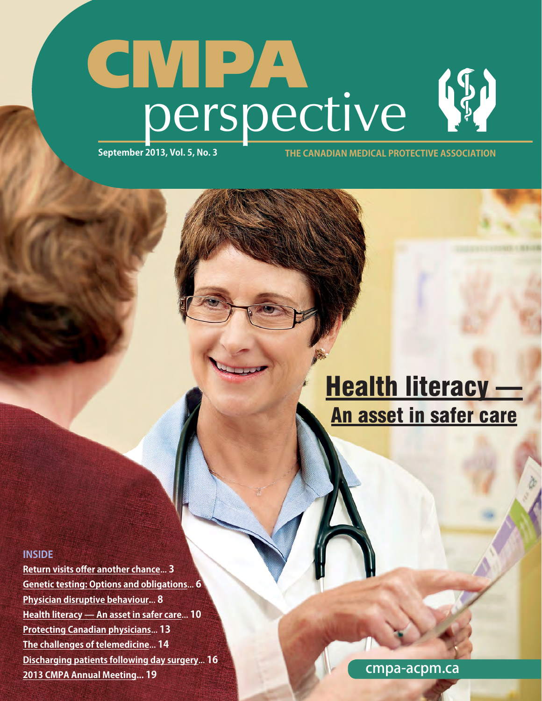# CMPA perspective **September 2013, Vol. 5, No. 3 THE CANADIAN MEDICAL PROTECTIVE ASSOCIATION**

# [Health literacy —](#page-1-0) An asset in safer care

#### **INSIDE**

**[Return visits offer another chance](#page--1-0)**... **3 [Genetic testing: Options and obligations](#page--1-0)**... **6 [Physician disruptive behaviour.](#page--1-0)**.. **8 [Health literacy — An asset in safer care](#page-1-0)**... **10 [Protecting Canadian physicians](#page--1-0)**... **13 [The challenges of telemedicine](#page--1-0)**... **14 [Discharging patients following day surgery](#page--1-0)**... **16 [2013 CMPA Annual Meeting... 19](#page--1-0)**

cmpa-acpm.ca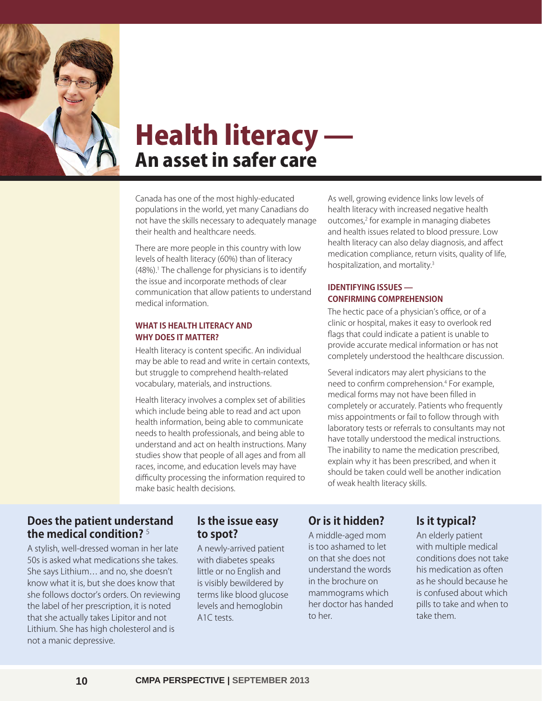<span id="page-1-0"></span>

# Health literacy — An asset in safer care

Canada has one of the most highly-educated populations in the world, yet many Canadians do not have the skills necessary to adequately manage their health and healthcare needs.

There are more people in this country with low levels of health literacy (60%) than of literacy (48%).1 The challenge for physicians is to identify the issue and incorporate methods of clear communication that allow patients to understand medical information.

#### **WHAT IS HEALTH LITERACY AND WHY DOES IT MATTER?**

Health literacy is content specific. An individual may be able to read and write in certain contexts, but struggle to comprehend health-related vocabulary, materials, and instructions.

Health literacy involves a complex set of abilities which include being able to read and act upon health information, being able to communicate needs to health professionals, and being able to understand and act on health instructions. Many studies show that people of all ages and from all races, income, and education levels may have difficulty processing the information required to make basic health decisions.

As well, growing evidence links low levels of health literacy with increased negative health outcomes,2 for example in managing diabetes and health issues related to blood pressure. Low health literacy can also delay diagnosis, and affect medication compliance, return visits, quality of life, hospitalization, and mortality.3

### **IDENTIFYING ISSUES — CONFIRMING COMPREHENSION**

The hectic pace of a physician's office, or of a clinic or hospital, makes it easy to overlook red flags that could indicate a patient is unable to provide accurate medical information or has not completely understood the healthcare discussion.

Several indicators may alert physicians to the need to confirm comprehension.4 For example, medical forms may not have been filled in completely or accurately. Patients who frequently miss appointments or fail to follow through with laboratory tests or referrals to consultants may not have totally understood the medical instructions. The inability to name the medication prescribed, explain why it has been prescribed, and when it should be taken could well be another indication of weak health literacy skills.

# **Does the patient understand the medical condition?** <sup>5</sup>

A stylish, well-dressed woman in her late 50s is asked what medications she takes. She says Lithium… and no, she doesn't know what it is, but she does know that she follows doctor's orders. On reviewing the label of her prescription, it is noted that she actually takes Lipitor and not Lithium. She has high cholesterol and is not a manic depressive.

# **Is the issue easy to spot?**

A newly-arrived patient with diabetes speaks little or no English and is visibly bewildered by terms like blood glucose levels and hemoglobin A1C tests.

# **Or is it hidden?**

A middle-aged mom is too ashamed to let on that she does not understand the words in the brochure on mammograms which her doctor has handed to her.

# **Is it typical?**

An elderly patient with multiple medical conditions does not take his medication as often as he should because he is confused about which pills to take and when to take them.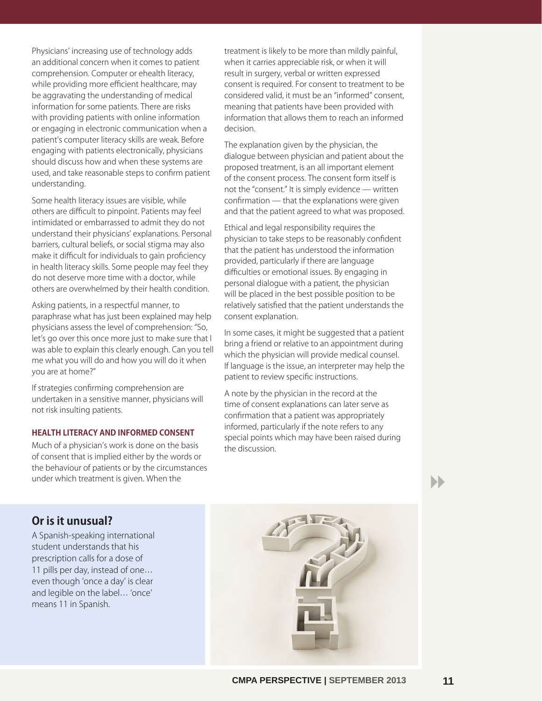Physicians' increasing use of technology adds an additional concern when it comes to patient comprehension. Computer or ehealth literacy, while providing more efficient healthcare, may be aggravating the understanding of medical information for some patients. There are risks with providing patients with online information or engaging in electronic communication when a patient's computer literacy skills are weak. Before engaging with patients electronically, physicians should discuss how and when these systems are used, and take reasonable steps to confirm patient understanding.

Some health literacy issues are visible, while others are difficult to pinpoint. Patients may feel intimidated or embarrassed to admit they do not understand their physicians' explanations. Personal barriers, cultural beliefs, or social stigma may also make it difficult for individuals to gain proficiency in health literacy skills. Some people may feel they do not deserve more time with a doctor, while others are overwhelmed by their health condition.

Asking patients, in a respectful manner, to paraphrase what has just been explained may help physicians assess the level of comprehension: "So, let's go over this once more just to make sure that I was able to explain this clearly enough. Can you tell me what you will do and how you will do it when you are at home?"

If strategies confirming comprehension are undertaken in a sensitive manner, physicians will not risk insulting patients.

#### **HEALTH LITERACY AND INFORMED CONSENT**

Much of a physician's work is done on the basis of consent that is implied either by the words or the behaviour of patients or by the circumstances under which treatment is given. When the

treatment is likely to be more than mildly painful, when it carries appreciable risk, or when it will result in surgery, verbal or written expressed consent is required. For consent to treatment to be considered valid, it must be an "informed" consent, meaning that patients have been provided with information that allows them to reach an informed decision.

The explanation given by the physician, the dialogue between physician and patient about the proposed treatment, is an all important element of the consent process. The consent form itself is not the "consent." It is simply evidence — written confirmation — that the explanations were given and that the patient agreed to what was proposed.

Ethical and legal responsibility requires the physician to take steps to be reasonably confident that the patient has understood the information provided, particularly if there are language difficulties or emotional issues. By engaging in personal dialogue with a patient, the physician will be placed in the best possible position to be relatively satisfied that the patient understands the consent explanation.

In some cases, it might be suggested that a patient bring a friend or relative to an appointment during which the physician will provide medical counsel. If language is the issue, an interpreter may help the patient to review specific instructions.

A note by the physician in the record at the time of consent explanations can later serve as confirmation that a patient was appropriately informed, particularly if the note refers to any special points which may have been raised during the discussion.

8

**Or is it unusual?**

A Spanish-speaking international student understands that his prescription calls for a dose of 11 pills per day, instead of one… even though 'once a day' is clear and legible on the label… 'once' means 11 in Spanish.